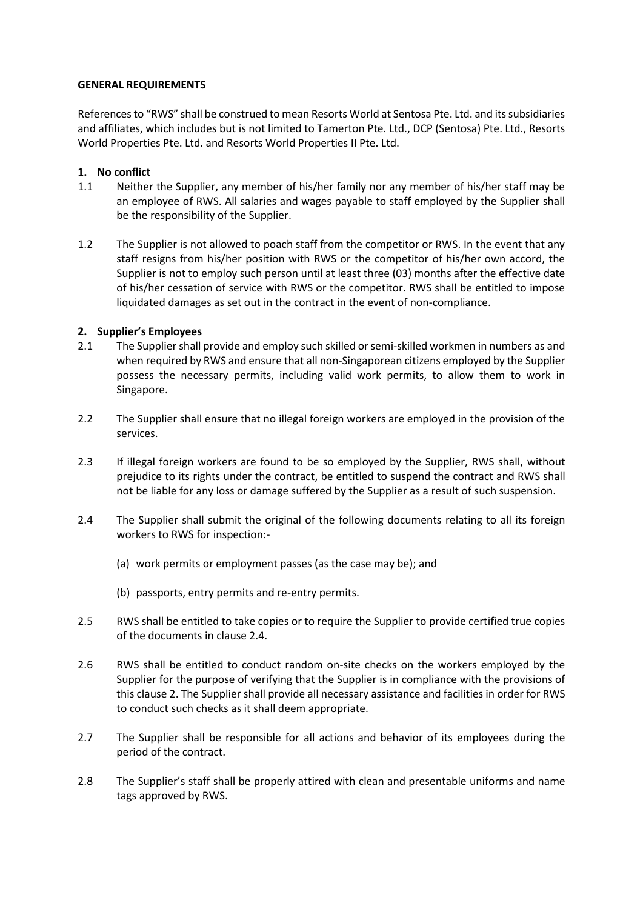#### **GENERAL REQUIREMENTS**

References to "RWS" shall be construed to mean Resorts World at Sentosa Pte. Ltd. and its subsidiaries and affiliates, which includes but is not limited to Tamerton Pte. Ltd., DCP (Sentosa) Pte. Ltd., Resorts World Properties Pte. Ltd. and Resorts World Properties II Pte. Ltd.

#### **1. No conflict**

- 1.1 Neither the Supplier, any member of his/her family nor any member of his/her staff may be an employee of RWS. All salaries and wages payable to staff employed by the Supplier shall be the responsibility of the Supplier.
- 1.2 The Supplier is not allowed to poach staff from the competitor or RWS. In the event that any staff resigns from his/her position with RWS or the competitor of his/her own accord, the Supplier is not to employ such person until at least three (03) months after the effective date of his/her cessation of service with RWS or the competitor. RWS shall be entitled to impose liquidated damages as set out in the contract in the event of non-compliance.

### **2. Supplier's Employees**

- 2.1 The Supplier shall provide and employ such skilled or semi-skilled workmen in numbers as and when required by RWS and ensure that all non-Singaporean citizens employed by the Supplier possess the necessary permits, including valid work permits, to allow them to work in Singapore.
- 2.2 The Supplier shall ensure that no illegal foreign workers are employed in the provision of the services.
- 2.3 If illegal foreign workers are found to be so employed by the Supplier, RWS shall, without prejudice to its rights under the contract, be entitled to suspend the contract and RWS shall not be liable for any loss or damage suffered by the Supplier as a result of such suspension.
- 2.4 The Supplier shall submit the original of the following documents relating to all its foreign workers to RWS for inspection:-
	- (a) work permits or employment passes (as the case may be); and
	- (b) passports, entry permits and re-entry permits.
- 2.5 RWS shall be entitled to take copies or to require the Supplier to provide certified true copies of the documents in clause 2.4.
- 2.6 RWS shall be entitled to conduct random on-site checks on the workers employed by the Supplier for the purpose of verifying that the Supplier is in compliance with the provisions of this clause 2. The Supplier shall provide all necessary assistance and facilities in order for RWS to conduct such checks as it shall deem appropriate.
- 2.7 The Supplier shall be responsible for all actions and behavior of its employees during the period of the contract.
- 2.8 The Supplier's staff shall be properly attired with clean and presentable uniforms and name tags approved by RWS.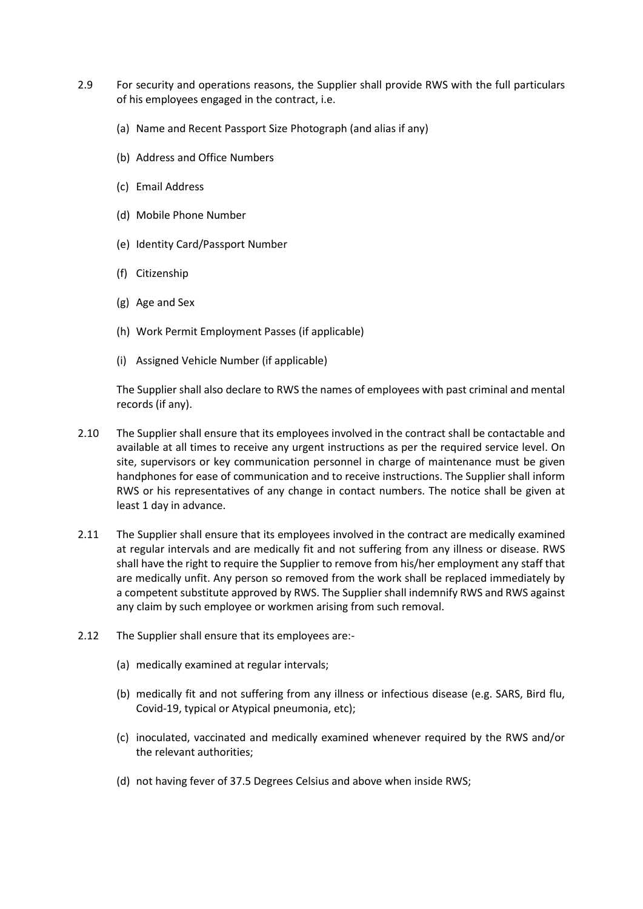- 2.9 For security and operations reasons, the Supplier shall provide RWS with the full particulars of his employees engaged in the contract, i.e.
	- (a) Name and Recent Passport Size Photograph (and alias if any)
	- (b) Address and Office Numbers
	- (c) Email Address
	- (d) Mobile Phone Number
	- (e) Identity Card/Passport Number
	- (f) Citizenship
	- (g) Age and Sex
	- (h) Work Permit Employment Passes (if applicable)
	- (i) Assigned Vehicle Number (if applicable)

The Supplier shall also declare to RWS the names of employees with past criminal and mental records (if any).

- 2.10 The Supplier shall ensure that its employees involved in the contract shall be contactable and available at all times to receive any urgent instructions as per the required service level. On site, supervisors or key communication personnel in charge of maintenance must be given handphones for ease of communication and to receive instructions. The Supplier shall inform RWS or his representatives of any change in contact numbers. The notice shall be given at least 1 day in advance.
- 2.11 The Supplier shall ensure that its employees involved in the contract are medically examined at regular intervals and are medically fit and not suffering from any illness or disease. RWS shall have the right to require the Supplier to remove from his/her employment any staff that are medically unfit. Any person so removed from the work shall be replaced immediately by a competent substitute approved by RWS. The Supplier shall indemnify RWS and RWS against any claim by such employee or workmen arising from such removal.
- 2.12 The Supplier shall ensure that its employees are:-
	- (a) medically examined at regular intervals;
	- (b) medically fit and not suffering from any illness or infectious disease (e.g. SARS, Bird flu, Covid-19, typical or Atypical pneumonia, etc);
	- (c) inoculated, vaccinated and medically examined whenever required by the RWS and/or the relevant authorities;
	- (d) not having fever of 37.5 Degrees Celsius and above when inside RWS;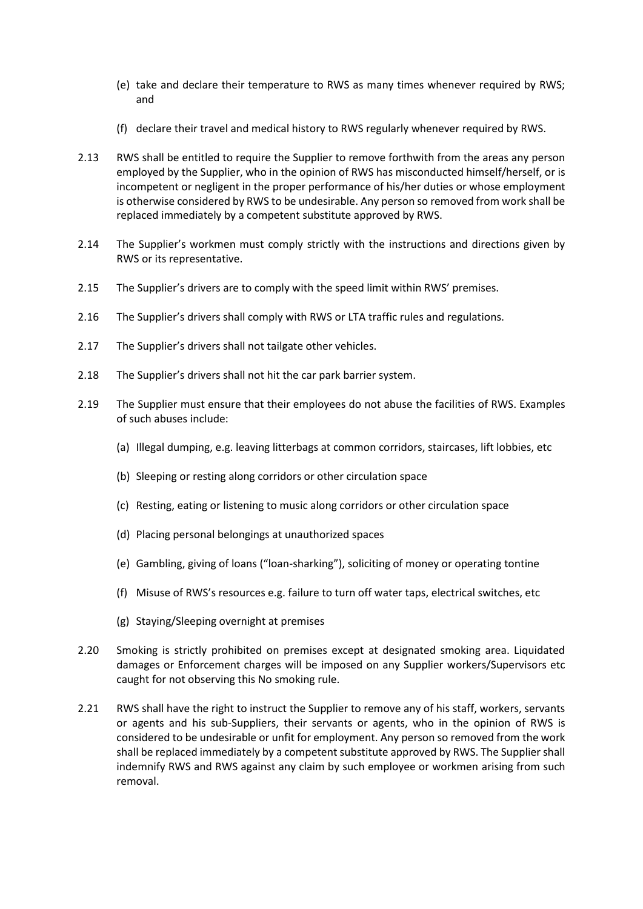- (e) take and declare their temperature to RWS as many times whenever required by RWS; and
- (f) declare their travel and medical history to RWS regularly whenever required by RWS.
- 2.13 RWS shall be entitled to require the Supplier to remove forthwith from the areas any person employed by the Supplier, who in the opinion of RWS has misconducted himself/herself, or is incompetent or negligent in the proper performance of his/her duties or whose employment is otherwise considered by RWS to be undesirable. Any person so removed from work shall be replaced immediately by a competent substitute approved by RWS.
- 2.14 The Supplier's workmen must comply strictly with the instructions and directions given by RWS or its representative.
- 2.15 The Supplier's drivers are to comply with the speed limit within RWS' premises.
- 2.16 The Supplier's drivers shall comply with RWS or LTA traffic rules and regulations.
- 2.17 The Supplier's drivers shall not tailgate other vehicles.
- 2.18 The Supplier's drivers shall not hit the car park barrier system.
- 2.19 The Supplier must ensure that their employees do not abuse the facilities of RWS. Examples of such abuses include:
	- (a) Illegal dumping, e.g. leaving litterbags at common corridors, staircases, lift lobbies, etc
	- (b) Sleeping or resting along corridors or other circulation space
	- (c) Resting, eating or listening to music along corridors or other circulation space
	- (d) Placing personal belongings at unauthorized spaces
	- (e) Gambling, giving of loans ("loan-sharking"), soliciting of money or operating tontine
	- (f) Misuse of RWS's resources e.g. failure to turn off water taps, electrical switches, etc
	- (g) Staying/Sleeping overnight at premises
- 2.20 Smoking is strictly prohibited on premises except at designated smoking area. Liquidated damages or Enforcement charges will be imposed on any Supplier workers/Supervisors etc caught for not observing this No smoking rule.
- 2.21 RWS shall have the right to instruct the Supplier to remove any of his staff, workers, servants or agents and his sub-Suppliers, their servants or agents, who in the opinion of RWS is considered to be undesirable or unfit for employment. Any person so removed from the work shall be replaced immediately by a competent substitute approved by RWS. The Supplier shall indemnify RWS and RWS against any claim by such employee or workmen arising from such removal.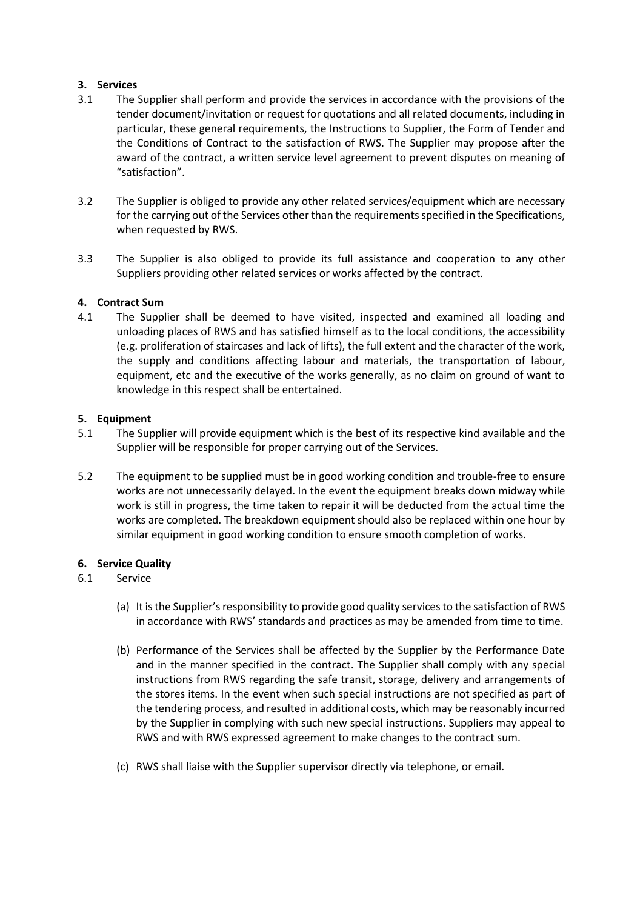### **3. Services**

- 3.1 The Supplier shall perform and provide the services in accordance with the provisions of the tender document/invitation or request for quotations and all related documents, including in particular, these general requirements, the Instructions to Supplier, the Form of Tender and the Conditions of Contract to the satisfaction of RWS. The Supplier may propose after the award of the contract, a written service level agreement to prevent disputes on meaning of "satisfaction".
- 3.2 The Supplier is obliged to provide any other related services/equipment which are necessary for the carrying out of the Services other than the requirements specified in the Specifications, when requested by RWS.
- 3.3 The Supplier is also obliged to provide its full assistance and cooperation to any other Suppliers providing other related services or works affected by the contract.

### **4. Contract Sum**

4.1 The Supplier shall be deemed to have visited, inspected and examined all loading and unloading places of RWS and has satisfied himself as to the local conditions, the accessibility (e.g. proliferation of staircases and lack of lifts), the full extent and the character of the work, the supply and conditions affecting labour and materials, the transportation of labour, equipment, etc and the executive of the works generally, as no claim on ground of want to knowledge in this respect shall be entertained.

### **5. Equipment**

- 5.1 The Supplier will provide equipment which is the best of its respective kind available and the Supplier will be responsible for proper carrying out of the Services.
- 5.2 The equipment to be supplied must be in good working condition and trouble-free to ensure works are not unnecessarily delayed. In the event the equipment breaks down midway while work is still in progress, the time taken to repair it will be deducted from the actual time the works are completed. The breakdown equipment should also be replaced within one hour by similar equipment in good working condition to ensure smooth completion of works.

# **6. Service Quality**

# 6.1 Service

- (a) It is the Supplier's responsibility to provide good quality services to the satisfaction of RWS in accordance with RWS' standards and practices as may be amended from time to time.
- (b) Performance of the Services shall be affected by the Supplier by the Performance Date and in the manner specified in the contract. The Supplier shall comply with any special instructions from RWS regarding the safe transit, storage, delivery and arrangements of the stores items. In the event when such special instructions are not specified as part of the tendering process, and resulted in additional costs, which may be reasonably incurred by the Supplier in complying with such new special instructions. Suppliers may appeal to RWS and with RWS expressed agreement to make changes to the contract sum.
- (c) RWS shall liaise with the Supplier supervisor directly via telephone, or email.